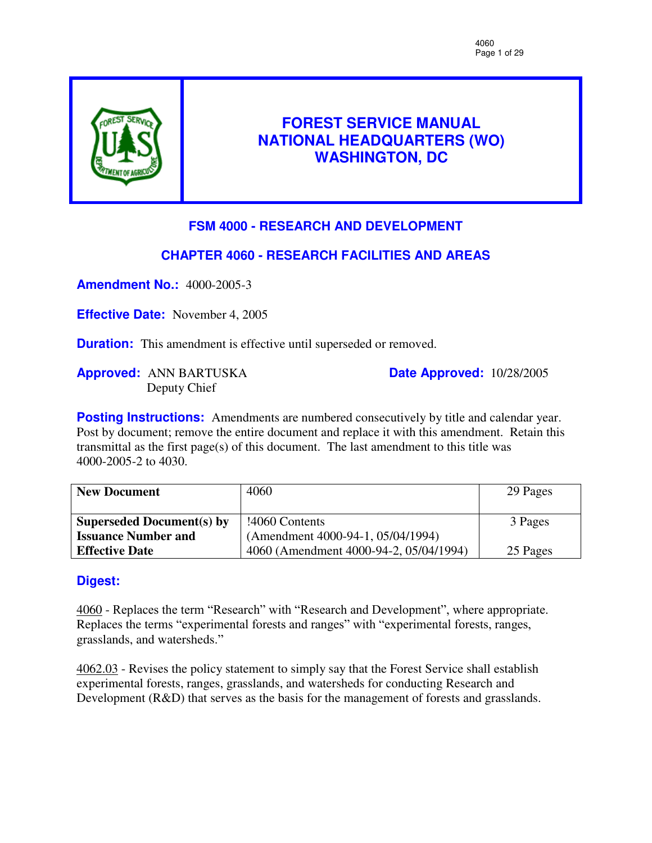

# **FOREST SERVICE MANUAL NATIONAL HEADQUARTERS (WO) WASHINGTON, DC**

# **FSM 4000 - RESEARCH AND DEVELOPMENT**

# **CHAPTER 4060 - RESEARCH FACILITIES AND AREAS**

**Amendment No.:** 4000-2005-3

**Effective Date:** November 4, 2005

**Duration:** This amendment is effective until superseded or removed.

**Approved:** ANN BARTUSKA Deputy Chief

**Date Approved:** 10/28/2005

**Posting Instructions:** Amendments are numbered consecutively by title and calendar year. Post by document; remove the entire document and replace it with this amendment. Retain this transmittal as the first page(s) of this document. The last amendment to this title was 4000-2005-2 to 4030.

| <b>New Document</b>        | 4060                                   | 29 Pages |
|----------------------------|----------------------------------------|----------|
|                            |                                        |          |
| Superseded Document(s) by  | !4060 Contents                         | 3 Pages  |
| <b>Issuance Number and</b> | (Amendment 4000-94-1, 05/04/1994)      |          |
| <b>Effective Date</b>      | 4060 (Amendment 4000-94-2, 05/04/1994) | 25 Pages |

# **Digest:**

4060 - Replaces the term "Research" with "Research and Development", where appropriate. Replaces the terms "experimental forests and ranges" with "experimental forests, ranges, grasslands, and watersheds."

4062.03 - Revises the policy statement to simply say that the Forest Service shall establish experimental forests, ranges, grasslands, and watersheds for conducting Research and Development (R&D) that serves as the basis for the management of forests and grasslands.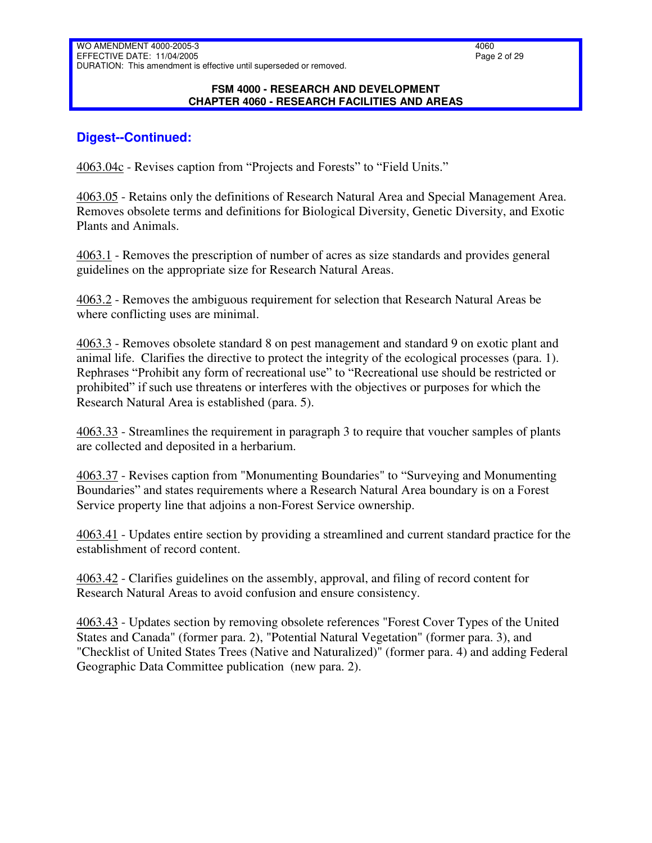#### **FSM 4000 - RESEARCH AND DEVELOPMENT CHAPTER 4060 - RESEARCH FACILITIES AND AREAS**

### **Digest--Continued:**

4063.04c - Revises caption from "Projects and Forests" to "Field Units."

4063.05 - Retains only the definitions of Research Natural Area and Special Management Area. Removes obsolete terms and definitions for Biological Diversity, Genetic Diversity, and Exotic Plants and Animals.

4063.1 - Removes the prescription of number of acres as size standards and provides general guidelines on the appropriate size for Research Natural Areas.

4063.2 - Removes the ambiguous requirement for selection that Research Natural Areas be where conflicting uses are minimal.

4063.3 - Removes obsolete standard 8 on pest management and standard 9 on exotic plant and animal life. Clarifies the directive to protect the integrity of the ecological processes (para. 1). Rephrases "Prohibit any form of recreational use" to "Recreational use should be restricted or prohibited" if such use threatens or interferes with the objectives or purposes for which the Research Natural Area is established (para. 5).

4063.33 - Streamlines the requirement in paragraph 3 to require that voucher samples of plants are collected and deposited in a herbarium.

4063.37 - Revises caption from "Monumenting Boundaries" to "Surveying and Monumenting Boundaries" and states requirements where a Research Natural Area boundary is on a Forest Service property line that adjoins a non-Forest Service ownership.

4063.41 - Updates entire section by providing a streamlined and current standard practice for the establishment of record content.

4063.42 - Clarifies guidelines on the assembly, approval, and filing of record content for Research Natural Areas to avoid confusion and ensure consistency.

4063.43 - Updates section by removing obsolete references "Forest Cover Types of the United States and Canada" (former para. 2), "Potential Natural Vegetation" (former para. 3), and "Checklist of United States Trees (Native and Naturalized)" (former para. 4) and adding Federal Geographic Data Committee publication (new para. 2).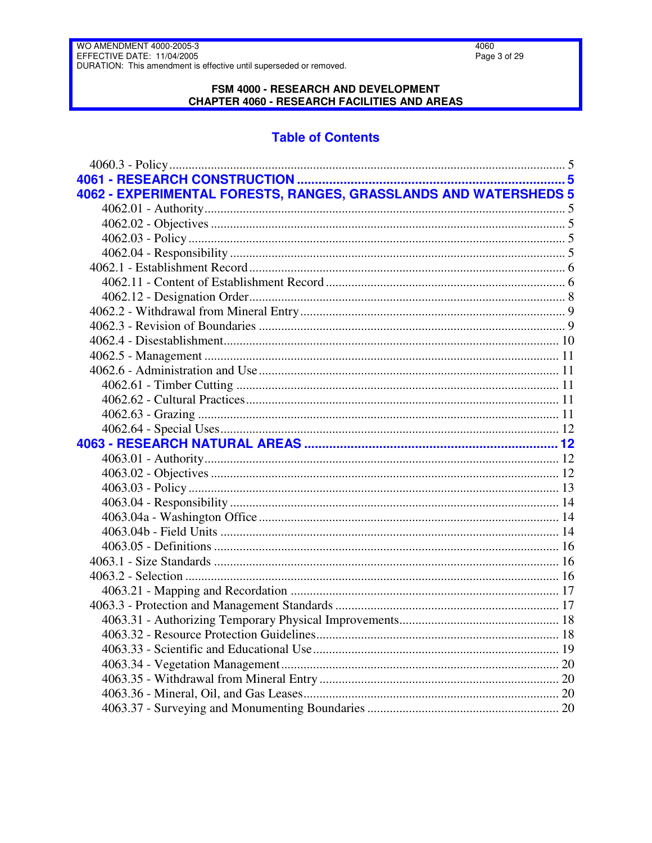#### FSM 4000 - RESEARCH AND DEVELOPMENT **CHAPTER 4060 - RESEARCH FACILITIES AND AREAS**

# **Table of Contents**

| 4062 - EXPERIMENTAL FORESTS, RANGES, GRASSLANDS AND WATERSHEDS 5 |  |
|------------------------------------------------------------------|--|
|                                                                  |  |
|                                                                  |  |
|                                                                  |  |
|                                                                  |  |
|                                                                  |  |
|                                                                  |  |
|                                                                  |  |
|                                                                  |  |
|                                                                  |  |
|                                                                  |  |
|                                                                  |  |
|                                                                  |  |
|                                                                  |  |
|                                                                  |  |
|                                                                  |  |
|                                                                  |  |
|                                                                  |  |
|                                                                  |  |
|                                                                  |  |
|                                                                  |  |
|                                                                  |  |
|                                                                  |  |
|                                                                  |  |
|                                                                  |  |
|                                                                  |  |
|                                                                  |  |
|                                                                  |  |
|                                                                  |  |
|                                                                  |  |
|                                                                  |  |
|                                                                  |  |
|                                                                  |  |
|                                                                  |  |
|                                                                  |  |
|                                                                  |  |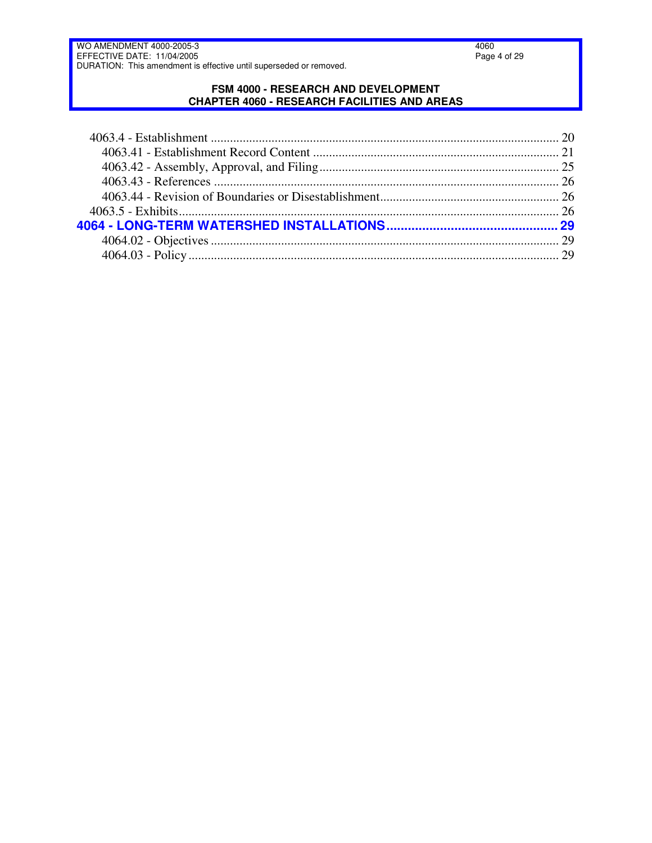#### **FSM 4000 - RESEARCH AND DEVELOPMENT CHAPTER 4060 - RESEARCH FACILITIES AND AREAS**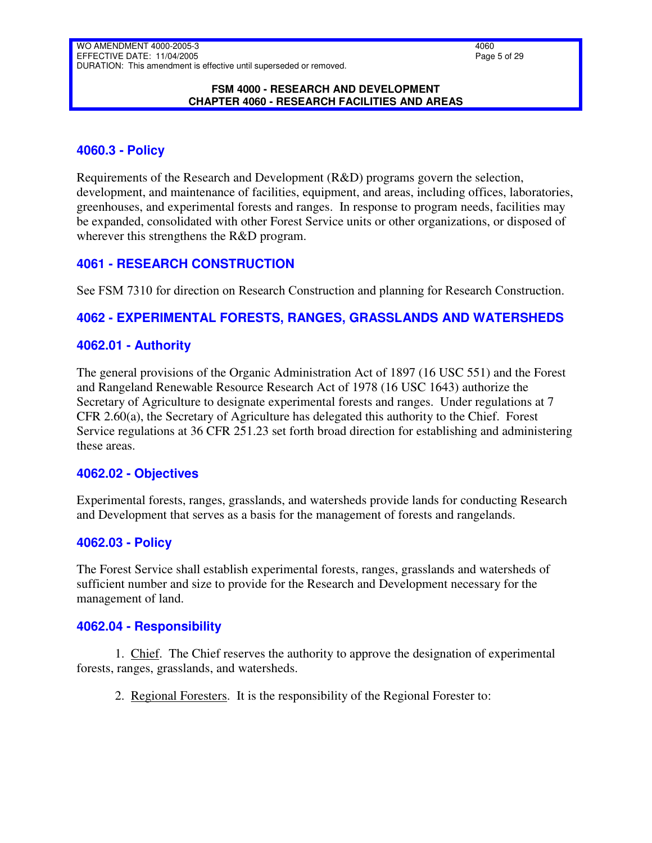#### **FSM 4000 - RESEARCH AND DEVELOPMENT CHAPTER 4060 - RESEARCH FACILITIES AND AREAS**

## <span id="page-4-0"></span>**4060.3 - Policy**

Requirements of the Research and Development (R&D) programs govern the selection, development, and maintenance of facilities, equipment, and areas, including offices, laboratories, greenhouses, and experimental forests and ranges. In response to program needs, facilities may be expanded, consolidated with other Forest Service units or other organizations, or disposed of wherever this strengthens the R&D program.

## <span id="page-4-1"></span>**4061 - RESEARCH CONSTRUCTION**

See FSM 7310 for direction on Research Construction and planning for Research Construction.

# <span id="page-4-2"></span>**4062 - EXPERIMENTAL FORESTS, RANGES, GRASSLANDS AND WATERSHEDS**

## <span id="page-4-3"></span>**4062.01 - Authority**

The general provisions of the Organic Administration Act of 1897 (16 USC 551) and the Forest and Rangeland Renewable Resource Research Act of 1978 (16 USC 1643) authorize the Secretary of Agriculture to designate experimental forests and ranges. Under regulations at 7 CFR 2.60(a), the Secretary of Agriculture has delegated this authority to the Chief. Forest Service regulations at 36 CFR 251.23 set forth broad direction for establishing and administering these areas.

## <span id="page-4-4"></span>**4062.02 - Objectives**

Experimental forests, ranges, grasslands, and watersheds provide lands for conducting Research and Development that serves as a basis for the management of forests and rangelands.

## <span id="page-4-5"></span>**4062.03 - Policy**

The Forest Service shall establish experimental forests, ranges, grasslands and watersheds of sufficient number and size to provide for the Research and Development necessary for the management of land.

## <span id="page-4-6"></span>**4062.04 - Responsibility**

1. Chief. The Chief reserves the authority to approve the designation of experimental forests, ranges, grasslands, and watersheds.

2. Regional Foresters. It is the responsibility of the Regional Forester to: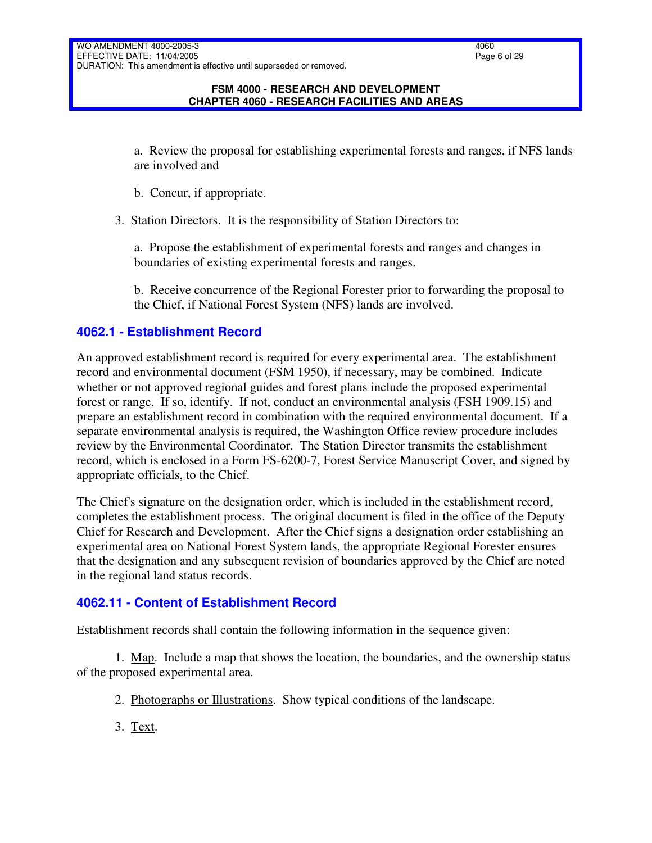#### **FSM 4000 - RESEARCH AND DEVELOPMENT CHAPTER 4060 - RESEARCH FACILITIES AND AREAS**

a. Review the proposal for establishing experimental forests and ranges, if NFS lands are involved and

- b. Concur, if appropriate.
- 3. Station Directors. It is the responsibility of Station Directors to:

a. Propose the establishment of experimental forests and ranges and changes in boundaries of existing experimental forests and ranges.

b. Receive concurrence of the Regional Forester prior to forwarding the proposal to the Chief, if National Forest System (NFS) lands are involved.

## <span id="page-5-0"></span>**4062.1 - Establishment Record**

An approved establishment record is required for every experimental area. The establishment record and environmental document (FSM 1950), if necessary, may be combined. Indicate whether or not approved regional guides and forest plans include the proposed experimental forest or range. If so, identify. If not, conduct an environmental analysis (FSH 1909.15) and prepare an establishment record in combination with the required environmental document. If a separate environmental analysis is required, the Washington Office review procedure includes review by the Environmental Coordinator. The Station Director transmits the establishment record, which is enclosed in a Form FS-6200-7, Forest Service Manuscript Cover, and signed by appropriate officials, to the Chief.

The Chief's signature on the designation order, which is included in the establishment record, completes the establishment process. The original document is filed in the office of the Deputy Chief for Research and Development. After the Chief signs a designation order establishing an experimental area on National Forest System lands, the appropriate Regional Forester ensures that the designation and any subsequent revision of boundaries approved by the Chief are noted in the regional land status records.

## <span id="page-5-1"></span>**4062.11 - Content of Establishment Record**

Establishment records shall contain the following information in the sequence given:

1. Map. Include a map that shows the location, the boundaries, and the ownership status of the proposed experimental area.

- 2. Photographs or Illustrations. Show typical conditions of the landscape.
- 3. Text.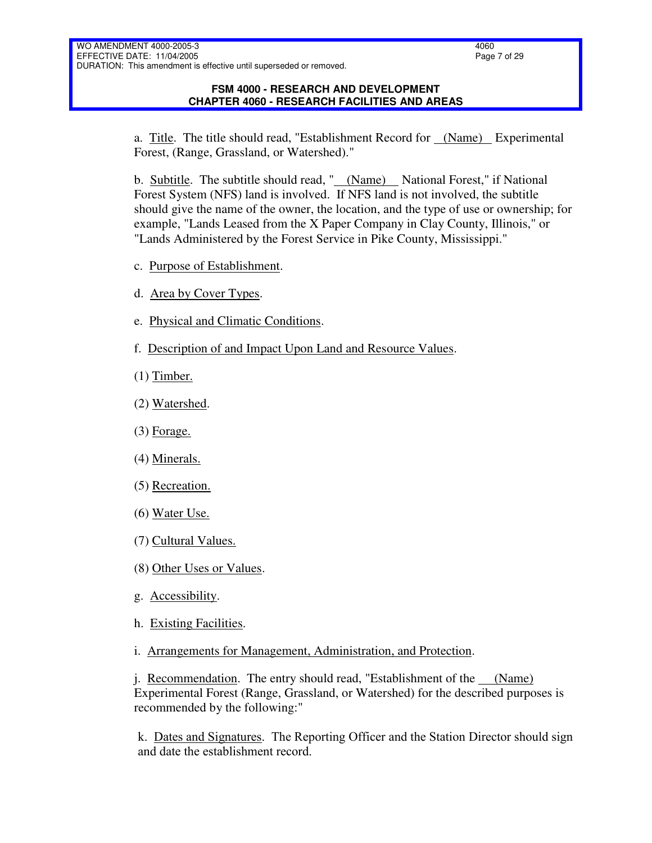#### **FSM 4000 - RESEARCH AND DEVELOPMENT CHAPTER 4060 - RESEARCH FACILITIES AND AREAS**

a. Title. The title should read, "Establishment Record for (Name) Experimental Forest, (Range, Grassland, or Watershed)."

b. Subtitle. The subtitle should read, " (Name) National Forest," if National Forest System (NFS) land is involved. If NFS land is not involved, the subtitle should give the name of the owner, the location, and the type of use or ownership; for example, "Lands Leased from the X Paper Company in Clay County, Illinois," or "Lands Administered by the Forest Service in Pike County, Mississippi."

- c. Purpose of Establishment.
- d. Area by Cover Types.
- e. Physical and Climatic Conditions.
- f. Description of and Impact Upon Land and Resource Values.
- (1) Timber.
- (2) Watershed.
- $(3)$  Forage.
- (4) Minerals.
- (5) Recreation.
- (6) Water Use.
- (7) Cultural Values.
- (8) Other Uses or Values.
- g. Accessibility.
- h. Existing Facilities.
- i. Arrangements for Management, Administration, and Protection.

j. Recommendation. The entry should read, "Establishment of the (Name) Experimental Forest (Range, Grassland, or Watershed) for the described purposes is recommended by the following:"

k. Dates and Signatures. The Reporting Officer and the Station Director should sign and date the establishment record.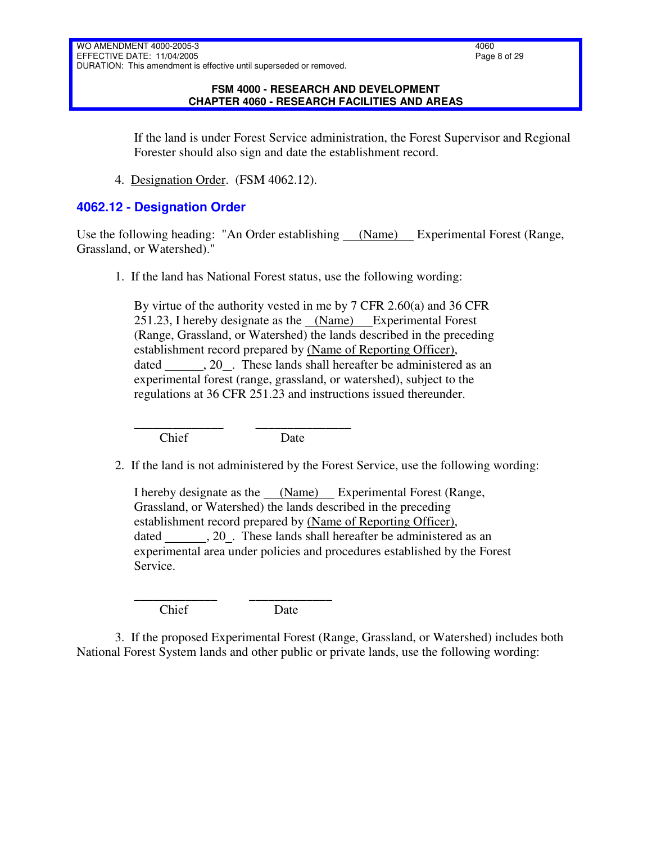#### **FSM 4000 - RESEARCH AND DEVELOPMENT CHAPTER 4060 - RESEARCH FACILITIES AND AREAS**

If the land is under Forest Service administration, the Forest Supervisor and Regional Forester should also sign and date the establishment record.

4. Designation Order. (FSM 4062.12).

### <span id="page-7-0"></span>**4062.12 - Designation Order**

Use the following heading: "An Order establishing (Name) Experimental Forest (Range, Grassland, or Watershed)."

1. If the land has National Forest status, use the following wording:

By virtue of the authority vested in me by 7 CFR 2.60(a) and 36 CFR 251.23, I hereby designate as the (Name) Experimental Forest (Range, Grassland, or Watershed) the lands described in the preceding establishment record prepared by (Name of Reporting Officer), dated  $, 20$ . These lands shall hereafter be administered as an experimental forest (range, grassland, or watershed), subject to the regulations at 36 CFR 251.23 and instructions issued thereunder.

\_\_\_\_\_\_\_\_\_\_\_\_\_\_ \_\_\_\_\_\_\_\_\_\_\_\_\_\_\_ Chief Date

2. If the land is not administered by the Forest Service, use the following wording:

I hereby designate as the (Name) Experimental Forest (Range, Grassland, or Watershed) the lands described in the preceding establishment record prepared by (Name of Reporting Officer), dated  $, 20$ . These lands shall hereafter be administered as an experimental area under policies and procedures established by the Forest Service.

\_\_\_\_\_\_\_\_\_\_\_\_\_ \_\_\_\_\_\_\_\_\_\_\_\_\_ Chief Date

3. If the proposed Experimental Forest (Range, Grassland, or Watershed) includes both National Forest System lands and other public or private lands, use the following wording: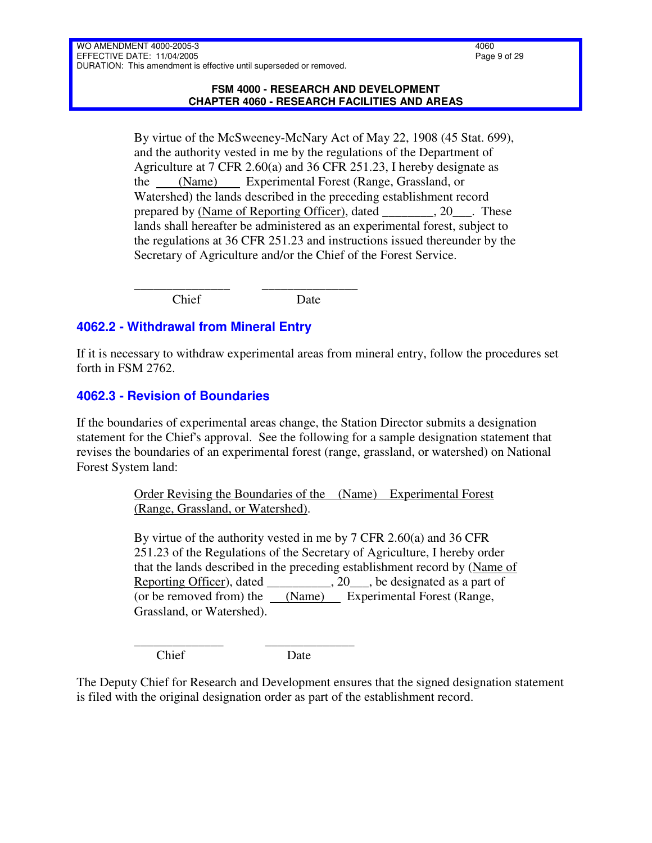By virtue of the McSweeney-McNary Act of May 22, 1908 (45 Stat. 699), and the authority vested in me by the regulations of the Department of Agriculture at 7 CFR 2.60(a) and 36 CFR 251.23, I hereby designate as the (Name) Experimental Forest (Range, Grassland, or Watershed) the lands described in the preceding establishment record prepared by (Name of Reporting Officer), dated \_\_\_\_\_\_\_\_, 20\_\_\_. These lands shall hereafter be administered as an experimental forest, subject to the regulations at 36 CFR 251.23 and instructions issued thereunder by the Secretary of Agriculture and/or the Chief of the Forest Service.

\_\_\_\_\_\_\_\_\_\_\_\_\_\_\_ \_\_\_\_\_\_\_\_\_\_\_\_\_\_\_ Chief Date

# <span id="page-8-0"></span>**4062.2 - Withdrawal from Mineral Entry**

If it is necessary to withdraw experimental areas from mineral entry, follow the procedures set forth in FSM 2762.

# <span id="page-8-1"></span>**4062.3 - Revision of Boundaries**

If the boundaries of experimental areas change, the Station Director submits a designation statement for the Chief's approval. See the following for a sample designation statement that revises the boundaries of an experimental forest (range, grassland, or watershed) on National Forest System land:

> Order Revising the Boundaries of the (Name) Experimental Forest (Range, Grassland, or Watershed).

By virtue of the authority vested in me by 7 CFR 2.60(a) and 36 CFR 251.23 of the Regulations of the Secretary of Agriculture, I hereby order that the lands described in the preceding establishment record by (Name of Reporting Officer), dated \_\_\_\_\_\_\_\_\_, 20\_\_\_, be designated as a part of (or be removed from) the  $(Name)$  Experimental Forest (Range, Grassland, or Watershed).

Chief Date

\_\_\_\_\_\_\_\_\_\_\_\_\_\_ \_\_\_\_\_\_\_\_\_\_\_\_\_\_

The Deputy Chief for Research and Development ensures that the signed designation statement is filed with the original designation order as part of the establishment record.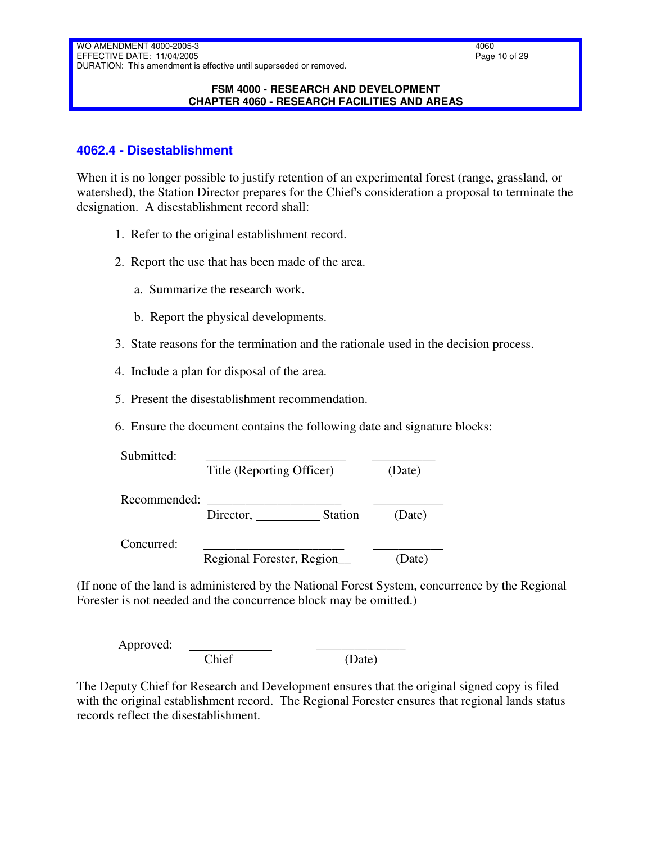#### **FSM 4000 - RESEARCH AND DEVELOPMENT CHAPTER 4060 - RESEARCH FACILITIES AND AREAS**

### <span id="page-9-0"></span>**4062.4 - Disestablishment**

When it is no longer possible to justify retention of an experimental forest (range, grassland, or watershed), the Station Director prepares for the Chief's consideration a proposal to terminate the designation. A disestablishment record shall:

- 1. Refer to the original establishment record.
- 2. Report the use that has been made of the area.
	- a. Summarize the research work.
	- b. Report the physical developments.
- 3. State reasons for the termination and the rationale used in the decision process.
- 4. Include a plan for disposal of the area.
- 5. Present the disestablishment recommendation.
- 6. Ensure the document contains the following date and signature blocks:

| Submitted:   |                             |        |
|--------------|-----------------------------|--------|
|              | Title (Reporting Officer)   | (Date) |
| Recommended: |                             |        |
|              | <b>Station</b><br>Director, | (Date) |
| Concurred:   |                             |        |
|              | Regional Forester, Region   | Date)  |

(If none of the land is administered by the National Forest System, concurrence by the Regional Forester is not needed and the concurrence block may be omitted.)

Approved: Chief (Date)

The Deputy Chief for Research and Development ensures that the original signed copy is filed with the original establishment record. The Regional Forester ensures that regional lands status records reflect the disestablishment.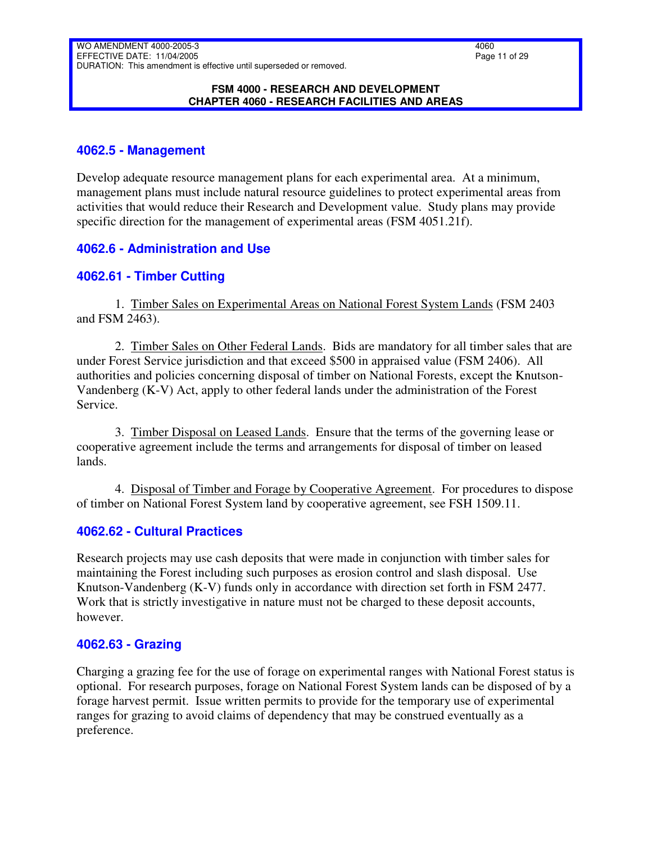#### **FSM 4000 - RESEARCH AND DEVELOPMENT CHAPTER 4060 - RESEARCH FACILITIES AND AREAS**

## <span id="page-10-0"></span>**4062.5 - Management**

Develop adequate resource management plans for each experimental area. At a minimum, management plans must include natural resource guidelines to protect experimental areas from activities that would reduce their Research and Development value. Study plans may provide specific direction for the management of experimental areas (FSM 4051.21f).

## <span id="page-10-1"></span>**4062.6 - Administration and Use**

## <span id="page-10-2"></span>**4062.61 - Timber Cutting**

1. Timber Sales on Experimental Areas on National Forest System Lands (FSM 2403 and FSM 2463).

2. Timber Sales on Other Federal Lands. Bids are mandatory for all timber sales that are under Forest Service jurisdiction and that exceed \$500 in appraised value (FSM 2406). All authorities and policies concerning disposal of timber on National Forests, except the Knutson-Vandenberg (K-V) Act, apply to other federal lands under the administration of the Forest Service.

3. Timber Disposal on Leased Lands. Ensure that the terms of the governing lease or cooperative agreement include the terms and arrangements for disposal of timber on leased lands.

4. Disposal of Timber and Forage by Cooperative Agreement. For procedures to dispose of timber on National Forest System land by cooperative agreement, see FSH 1509.11.

## <span id="page-10-3"></span>**4062.62 - Cultural Practices**

Research projects may use cash deposits that were made in conjunction with timber sales for maintaining the Forest including such purposes as erosion control and slash disposal. Use Knutson-Vandenberg (K-V) funds only in accordance with direction set forth in FSM 2477. Work that is strictly investigative in nature must not be charged to these deposit accounts, however.

## <span id="page-10-4"></span>**4062.63 - Grazing**

Charging a grazing fee for the use of forage on experimental ranges with National Forest status is optional. For research purposes, forage on National Forest System lands can be disposed of by a forage harvest permit. Issue written permits to provide for the temporary use of experimental ranges for grazing to avoid claims of dependency that may be construed eventually as a preference.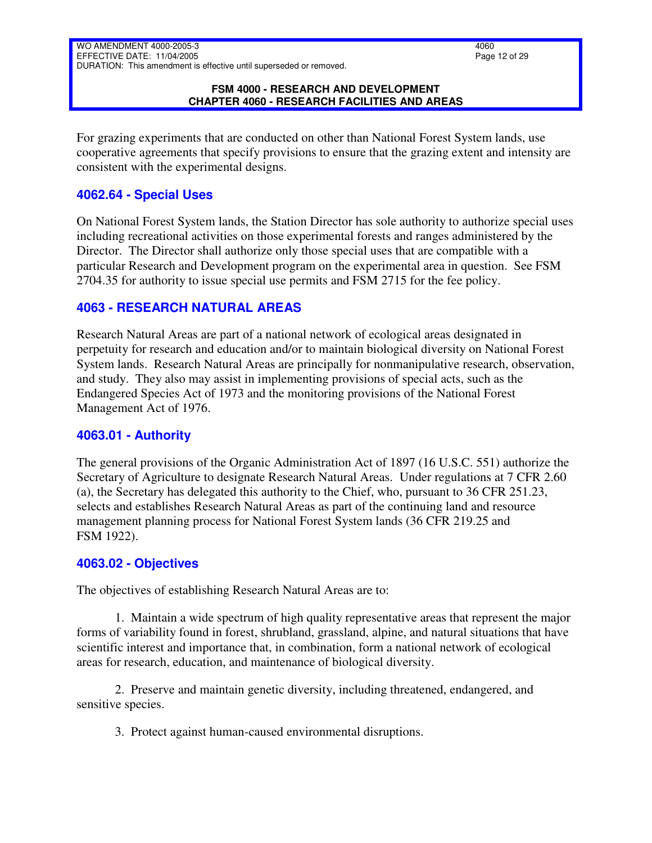#### **FSM 4000 - RESEARCH AND DEVELOPMENT CHAPTER 4060 - RESEARCH FACILITIES AND AREAS**

For grazing experiments that are conducted on other than National Forest System lands, use cooperative agreements that specify provisions to ensure that the grazing extent and intensity are consistent with the experimental designs.

### <span id="page-11-0"></span>**4062.64 - Special Uses**

On National Forest System lands, the Station Director has sole authority to authorize special uses including recreational activities on those experimental forests and ranges administered by the Director. The Director shall authorize only those special uses that are compatible with a particular Research and Development program on the experimental area in question. See FSM 2704.35 for authority to issue special use permits and FSM 2715 for the fee policy.

## <span id="page-11-1"></span>**4063 - RESEARCH NATURAL AREAS**

Research Natural Areas are part of a national network of ecological areas designated in perpetuity for research and education and/or to maintain biological diversity on National Forest System lands. Research Natural Areas are principally for nonmanipulative research, observation, and study. They also may assist in implementing provisions of special acts, such as the Endangered Species Act of 1973 and the monitoring provisions of the National Forest Management Act of 1976.

### <span id="page-11-2"></span>**4063.01 - Authority**

The general provisions of the Organic Administration Act of 1897 (16 U.S.C. 551) authorize the Secretary of Agriculture to designate Research Natural Areas. Under regulations at 7 CFR 2.60 (a), the Secretary has delegated this authority to the Chief, who, pursuant to 36 CFR 251.23, selects and establishes Research Natural Areas as part of the continuing land and resource management planning process for National Forest System lands (36 CFR 219.25 and FSM 1922).

### <span id="page-11-3"></span>**4063.02 - Objectives**

The objectives of establishing Research Natural Areas are to:

1. Maintain a wide spectrum of high quality representative areas that represent the major forms of variability found in forest, shrubland, grassland, alpine, and natural situations that have scientific interest and importance that, in combination, form a national network of ecological areas for research, education, and maintenance of biological diversity.

2. Preserve and maintain genetic diversity, including threatened, endangered, and sensitive species.

3. Protect against human-caused environmental disruptions.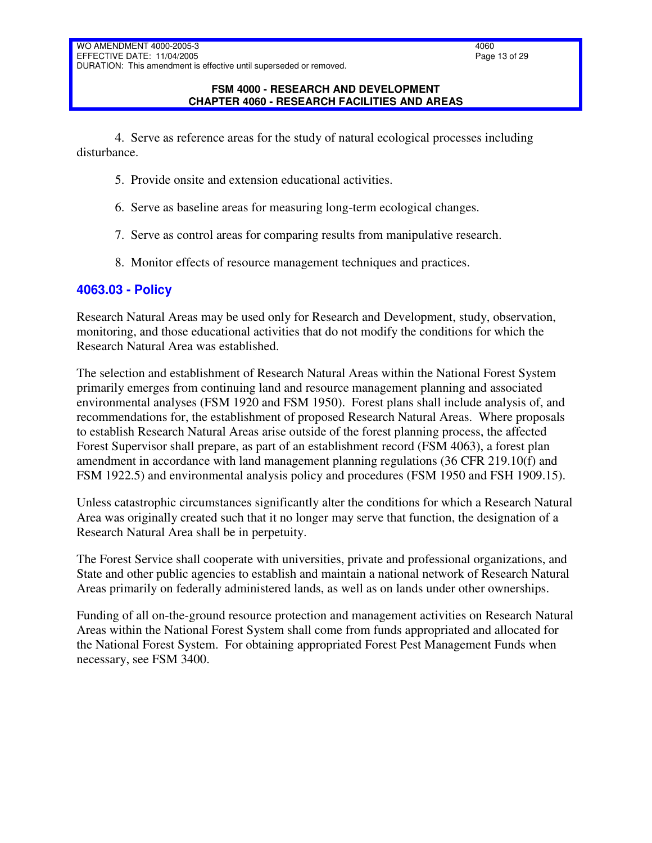#### **FSM 4000 - RESEARCH AND DEVELOPMENT CHAPTER 4060 - RESEARCH FACILITIES AND AREAS**

4. Serve as reference areas for the study of natural ecological processes including disturbance.

- 5. Provide onsite and extension educational activities.
- 6. Serve as baseline areas for measuring long-term ecological changes.
- 7. Serve as control areas for comparing results from manipulative research.
- 8. Monitor effects of resource management techniques and practices.

## <span id="page-12-0"></span>**4063.03 - Policy**

Research Natural Areas may be used only for Research and Development, study, observation, monitoring, and those educational activities that do not modify the conditions for which the Research Natural Area was established.

The selection and establishment of Research Natural Areas within the National Forest System primarily emerges from continuing land and resource management planning and associated environmental analyses (FSM 1920 and FSM 1950). Forest plans shall include analysis of, and recommendations for, the establishment of proposed Research Natural Areas. Where proposals to establish Research Natural Areas arise outside of the forest planning process, the affected Forest Supervisor shall prepare, as part of an establishment record (FSM 4063), a forest plan amendment in accordance with land management planning regulations (36 CFR 219.10(f) and FSM 1922.5) and environmental analysis policy and procedures (FSM 1950 and FSH 1909.15).

Unless catastrophic circumstances significantly alter the conditions for which a Research Natural Area was originally created such that it no longer may serve that function, the designation of a Research Natural Area shall be in perpetuity.

The Forest Service shall cooperate with universities, private and professional organizations, and State and other public agencies to establish and maintain a national network of Research Natural Areas primarily on federally administered lands, as well as on lands under other ownerships.

Funding of all on-the-ground resource protection and management activities on Research Natural Areas within the National Forest System shall come from funds appropriated and allocated for the National Forest System. For obtaining appropriated Forest Pest Management Funds when necessary, see FSM 3400.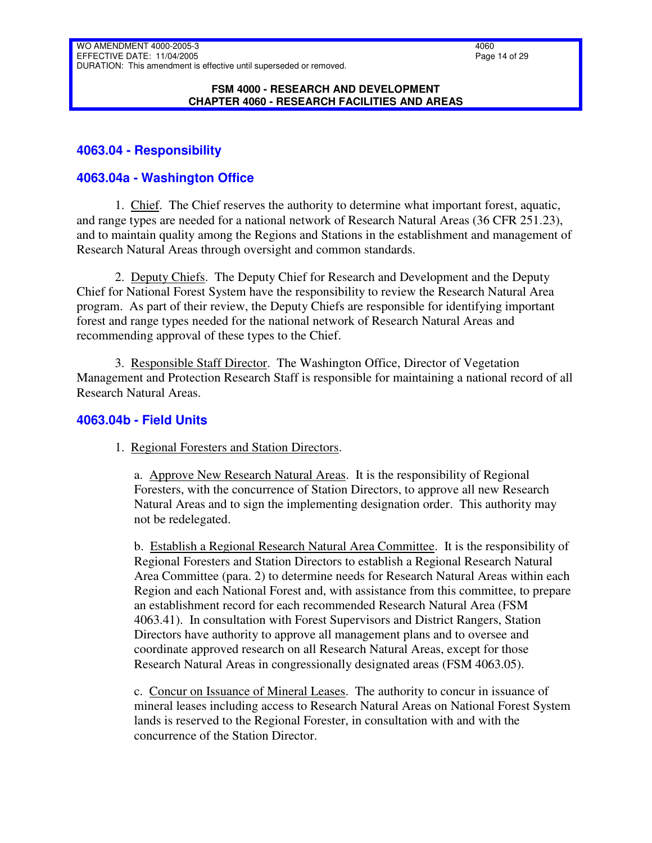#### **FSM 4000 - RESEARCH AND DEVELOPMENT CHAPTER 4060 - RESEARCH FACILITIES AND AREAS**

## <span id="page-13-0"></span>**4063.04 - Responsibility**

### <span id="page-13-1"></span>**4063.04a - Washington Office**

1. Chief. The Chief reserves the authority to determine what important forest, aquatic, and range types are needed for a national network of Research Natural Areas (36 CFR 251.23), and to maintain quality among the Regions and Stations in the establishment and management of Research Natural Areas through oversight and common standards.

2. Deputy Chiefs. The Deputy Chief for Research and Development and the Deputy Chief for National Forest System have the responsibility to review the Research Natural Area program. As part of their review, the Deputy Chiefs are responsible for identifying important forest and range types needed for the national network of Research Natural Areas and recommending approval of these types to the Chief.

3. Responsible Staff Director. The Washington Office, Director of Vegetation Management and Protection Research Staff is responsible for maintaining a national record of all Research Natural Areas.

#### <span id="page-13-2"></span>**4063.04b - Field Units**

1. Regional Foresters and Station Directors.

a. Approve New Research Natural Areas. It is the responsibility of Regional Foresters, with the concurrence of Station Directors, to approve all new Research Natural Areas and to sign the implementing designation order. This authority may not be redelegated.

b. Establish a Regional Research Natural Area Committee. It is the responsibility of Regional Foresters and Station Directors to establish a Regional Research Natural Area Committee (para. 2) to determine needs for Research Natural Areas within each Region and each National Forest and, with assistance from this committee, to prepare an establishment record for each recommended Research Natural Area (FSM 4063.41). In consultation with Forest Supervisors and District Rangers, Station Directors have authority to approve all management plans and to oversee and coordinate approved research on all Research Natural Areas, except for those Research Natural Areas in congressionally designated areas (FSM 4063.05).

c. Concur on Issuance of Mineral Leases. The authority to concur in issuance of mineral leases including access to Research Natural Areas on National Forest System lands is reserved to the Regional Forester, in consultation with and with the concurrence of the Station Director.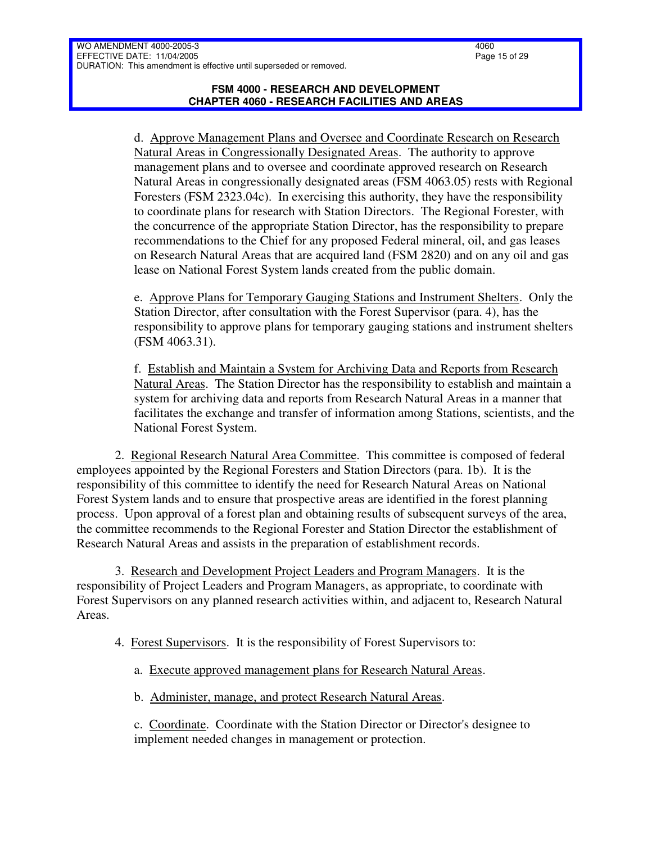d. Approve Management Plans and Oversee and Coordinate Research on Research Natural Areas in Congressionally Designated Areas. The authority to approve management plans and to oversee and coordinate approved research on Research Natural Areas in congressionally designated areas (FSM 4063.05) rests with Regional Foresters (FSM 2323.04c). In exercising this authority, they have the responsibility to coordinate plans for research with Station Directors. The Regional Forester, with the concurrence of the appropriate Station Director, has the responsibility to prepare recommendations to the Chief for any proposed Federal mineral, oil, and gas leases on Research Natural Areas that are acquired land (FSM 2820) and on any oil and gas lease on National Forest System lands created from the public domain.

e. Approve Plans for Temporary Gauging Stations and Instrument Shelters. Only the Station Director, after consultation with the Forest Supervisor (para. 4), has the responsibility to approve plans for temporary gauging stations and instrument shelters (FSM 4063.31).

f. Establish and Maintain a System for Archiving Data and Reports from Research Natural Areas. The Station Director has the responsibility to establish and maintain a system for archiving data and reports from Research Natural Areas in a manner that facilitates the exchange and transfer of information among Stations, scientists, and the National Forest System.

2. Regional Research Natural Area Committee. This committee is composed of federal employees appointed by the Regional Foresters and Station Directors (para. 1b). It is the responsibility of this committee to identify the need for Research Natural Areas on National Forest System lands and to ensure that prospective areas are identified in the forest planning process. Upon approval of a forest plan and obtaining results of subsequent surveys of the area, the committee recommends to the Regional Forester and Station Director the establishment of Research Natural Areas and assists in the preparation of establishment records.

3. Research and Development Project Leaders and Program Managers. It is the responsibility of Project Leaders and Program Managers, as appropriate, to coordinate with Forest Supervisors on any planned research activities within, and adjacent to, Research Natural Areas.

4. Forest Supervisors. It is the responsibility of Forest Supervisors to:

a. Execute approved management plans for Research Natural Areas.

b. Administer, manage, and protect Research Natural Areas.

c. Coordinate. Coordinate with the Station Director or Director's designee to implement needed changes in management or protection.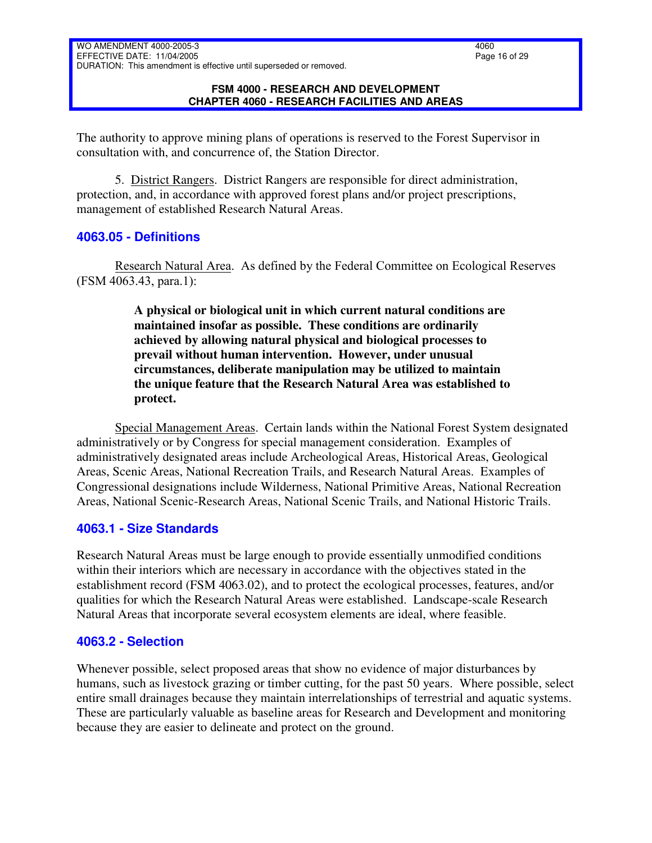#### **FSM 4000 - RESEARCH AND DEVELOPMENT CHAPTER 4060 - RESEARCH FACILITIES AND AREAS**

The authority to approve mining plans of operations is reserved to the Forest Supervisor in consultation with, and concurrence of, the Station Director.

5. District Rangers. District Rangers are responsible for direct administration, protection, and, in accordance with approved forest plans and/or project prescriptions, management of established Research Natural Areas.

## <span id="page-15-0"></span>**4063.05 - Definitions**

Research Natural Area. As defined by the Federal Committee on Ecological Reserves (FSM 4063.43, para.1):

> **A physical or biological unit in which current natural conditions are maintained insofar as possible. These conditions are ordinarily achieved by allowing natural physical and biological processes to prevail without human intervention. However, under unusual circumstances, deliberate manipulation may be utilized to maintain the unique feature that the Research Natural Area was established to protect.**

Special Management Areas. Certain lands within the National Forest System designated administratively or by Congress for special management consideration. Examples of administratively designated areas include Archeological Areas, Historical Areas, Geological Areas, Scenic Areas, National Recreation Trails, and Research Natural Areas. Examples of Congressional designations include Wilderness, National Primitive Areas, National Recreation Areas, National Scenic-Research Areas, National Scenic Trails, and National Historic Trails.

## <span id="page-15-1"></span>**4063.1 - Size Standards**

Research Natural Areas must be large enough to provide essentially unmodified conditions within their interiors which are necessary in accordance with the objectives stated in the establishment record (FSM 4063.02), and to protect the ecological processes, features, and/or qualities for which the Research Natural Areas were established. Landscape-scale Research Natural Areas that incorporate several ecosystem elements are ideal, where feasible.

## <span id="page-15-2"></span>**4063.2 - Selection**

Whenever possible, select proposed areas that show no evidence of major disturbances by humans, such as livestock grazing or timber cutting, for the past 50 years. Where possible, select entire small drainages because they maintain interrelationships of terrestrial and aquatic systems. These are particularly valuable as baseline areas for Research and Development and monitoring because they are easier to delineate and protect on the ground.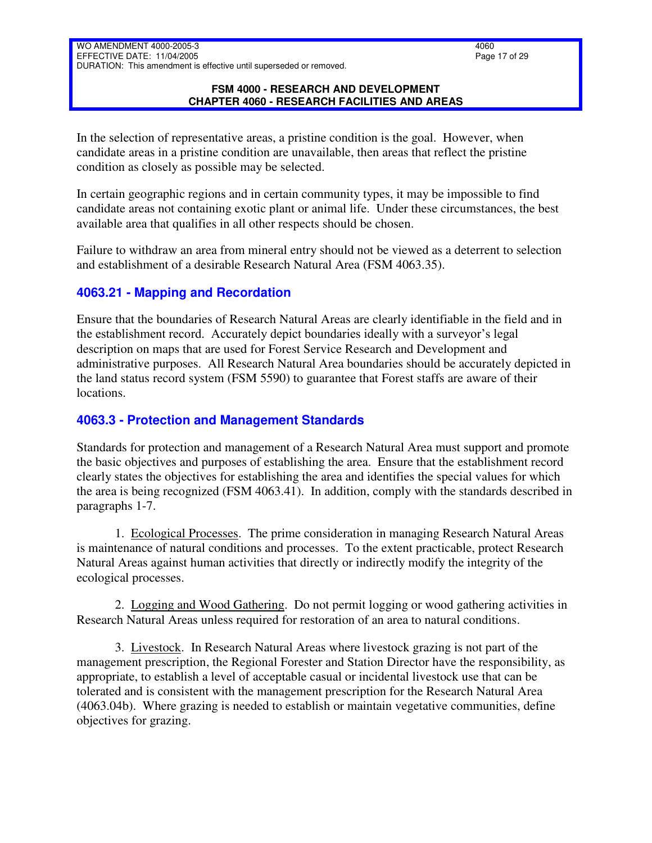#### **FSM 4000 - RESEARCH AND DEVELOPMENT CHAPTER 4060 - RESEARCH FACILITIES AND AREAS**

In the selection of representative areas, a pristine condition is the goal. However, when candidate areas in a pristine condition are unavailable, then areas that reflect the pristine condition as closely as possible may be selected.

In certain geographic regions and in certain community types, it may be impossible to find candidate areas not containing exotic plant or animal life. Under these circumstances, the best available area that qualifies in all other respects should be chosen.

Failure to withdraw an area from mineral entry should not be viewed as a deterrent to selection and establishment of a desirable Research Natural Area (FSM 4063.35).

## <span id="page-16-0"></span>**4063.21 - Mapping and Recordation**

Ensure that the boundaries of Research Natural Areas are clearly identifiable in the field and in the establishment record. Accurately depict boundaries ideally with a surveyor's legal description on maps that are used for Forest Service Research and Development and administrative purposes. All Research Natural Area boundaries should be accurately depicted in the land status record system (FSM 5590) to guarantee that Forest staffs are aware of their locations.

### <span id="page-16-1"></span>**4063.3 - Protection and Management Standards**

Standards for protection and management of a Research Natural Area must support and promote the basic objectives and purposes of establishing the area. Ensure that the establishment record clearly states the objectives for establishing the area and identifies the special values for which the area is being recognized (FSM 4063.41). In addition, comply with the standards described in paragraphs 1-7.

1. Ecological Processes. The prime consideration in managing Research Natural Areas is maintenance of natural conditions and processes. To the extent practicable, protect Research Natural Areas against human activities that directly or indirectly modify the integrity of the ecological processes.

2. Logging and Wood Gathering. Do not permit logging or wood gathering activities in Research Natural Areas unless required for restoration of an area to natural conditions.

3. Livestock. In Research Natural Areas where livestock grazing is not part of the management prescription, the Regional Forester and Station Director have the responsibility, as appropriate, to establish a level of acceptable casual or incidental livestock use that can be tolerated and is consistent with the management prescription for the Research Natural Area (4063.04b). Where grazing is needed to establish or maintain vegetative communities, define objectives for grazing.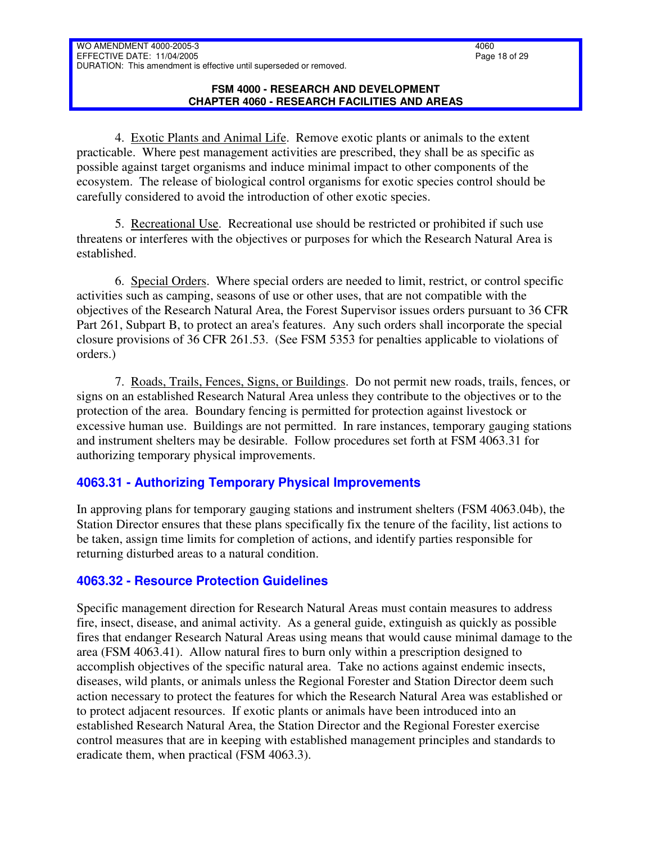4. Exotic Plants and Animal Life. Remove exotic plants or animals to the extent practicable. Where pest management activities are prescribed, they shall be as specific as possible against target organisms and induce minimal impact to other components of the ecosystem. The release of biological control organisms for exotic species control should be carefully considered to avoid the introduction of other exotic species.

5. Recreational Use. Recreational use should be restricted or prohibited if such use threatens or interferes with the objectives or purposes for which the Research Natural Area is established.

6. Special Orders. Where special orders are needed to limit, restrict, or control specific activities such as camping, seasons of use or other uses, that are not compatible with the objectives of the Research Natural Area, the Forest Supervisor issues orders pursuant to 36 CFR Part 261, Subpart B, to protect an area's features. Any such orders shall incorporate the special closure provisions of 36 CFR 261.53. (See FSM 5353 for penalties applicable to violations of orders.)

7. Roads, Trails, Fences, Signs, or Buildings. Do not permit new roads, trails, fences, or signs on an established Research Natural Area unless they contribute to the objectives or to the protection of the area. Boundary fencing is permitted for protection against livestock or excessive human use. Buildings are not permitted. In rare instances, temporary gauging stations and instrument shelters may be desirable. Follow procedures set forth at FSM 4063.31 for authorizing temporary physical improvements.

# <span id="page-17-0"></span>**4063.31 - Authorizing Temporary Physical Improvements**

In approving plans for temporary gauging stations and instrument shelters (FSM 4063.04b), the Station Director ensures that these plans specifically fix the tenure of the facility, list actions to be taken, assign time limits for completion of actions, and identify parties responsible for returning disturbed areas to a natural condition.

# <span id="page-17-1"></span>**4063.32 - Resource Protection Guidelines**

Specific management direction for Research Natural Areas must contain measures to address fire, insect, disease, and animal activity. As a general guide, extinguish as quickly as possible fires that endanger Research Natural Areas using means that would cause minimal damage to the area (FSM 4063.41). Allow natural fires to burn only within a prescription designed to accomplish objectives of the specific natural area. Take no actions against endemic insects, diseases, wild plants, or animals unless the Regional Forester and Station Director deem such action necessary to protect the features for which the Research Natural Area was established or to protect adjacent resources. If exotic plants or animals have been introduced into an established Research Natural Area, the Station Director and the Regional Forester exercise control measures that are in keeping with established management principles and standards to eradicate them, when practical (FSM 4063.3).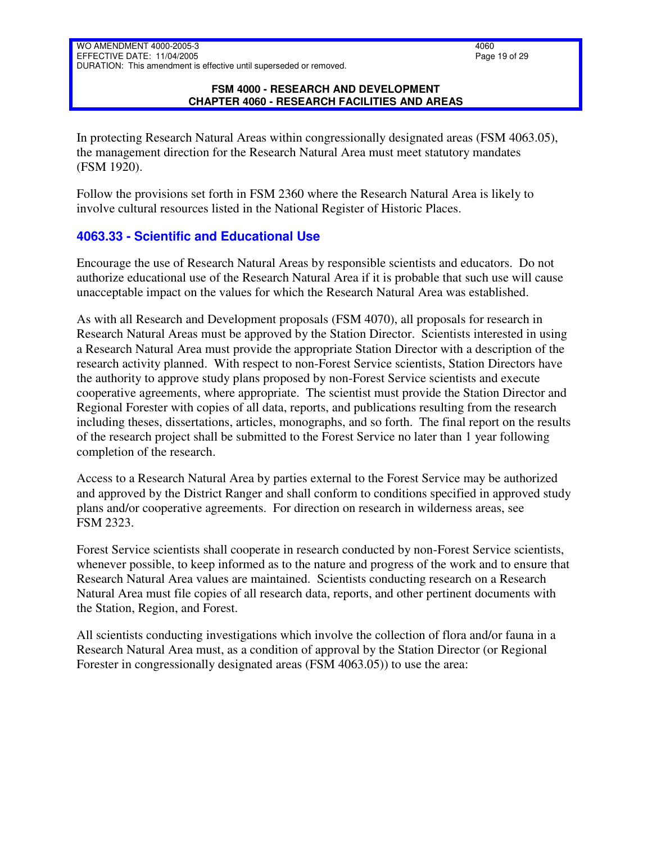#### **FSM 4000 - RESEARCH AND DEVELOPMENT CHAPTER 4060 - RESEARCH FACILITIES AND AREAS**

In protecting Research Natural Areas within congressionally designated areas (FSM 4063.05), the management direction for the Research Natural Area must meet statutory mandates (FSM 1920).

Follow the provisions set forth in FSM 2360 where the Research Natural Area is likely to involve cultural resources listed in the National Register of Historic Places.

# <span id="page-18-0"></span>**4063.33 - Scientific and Educational Use**

Encourage the use of Research Natural Areas by responsible scientists and educators. Do not authorize educational use of the Research Natural Area if it is probable that such use will cause unacceptable impact on the values for which the Research Natural Area was established.

As with all Research and Development proposals (FSM 4070), all proposals for research in Research Natural Areas must be approved by the Station Director. Scientists interested in using a Research Natural Area must provide the appropriate Station Director with a description of the research activity planned. With respect to non-Forest Service scientists, Station Directors have the authority to approve study plans proposed by non-Forest Service scientists and execute cooperative agreements, where appropriate. The scientist must provide the Station Director and Regional Forester with copies of all data, reports, and publications resulting from the research including theses, dissertations, articles, monographs, and so forth. The final report on the results of the research project shall be submitted to the Forest Service no later than 1 year following completion of the research.

Access to a Research Natural Area by parties external to the Forest Service may be authorized and approved by the District Ranger and shall conform to conditions specified in approved study plans and/or cooperative agreements. For direction on research in wilderness areas, see FSM 2323.

Forest Service scientists shall cooperate in research conducted by non-Forest Service scientists, whenever possible, to keep informed as to the nature and progress of the work and to ensure that Research Natural Area values are maintained. Scientists conducting research on a Research Natural Area must file copies of all research data, reports, and other pertinent documents with the Station, Region, and Forest.

All scientists conducting investigations which involve the collection of flora and/or fauna in a Research Natural Area must, as a condition of approval by the Station Director (or Regional Forester in congressionally designated areas (FSM 4063.05)) to use the area: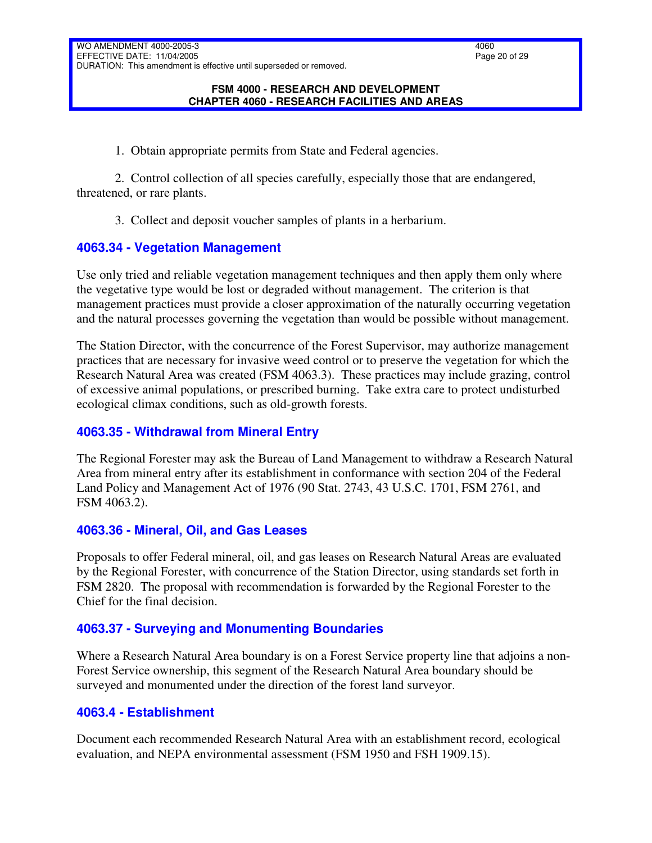#### **FSM 4000 - RESEARCH AND DEVELOPMENT CHAPTER 4060 - RESEARCH FACILITIES AND AREAS**

1. Obtain appropriate permits from State and Federal agencies.

2. Control collection of all species carefully, especially those that are endangered, threatened, or rare plants.

3. Collect and deposit voucher samples of plants in a herbarium.

## <span id="page-19-0"></span>**4063.34 - Vegetation Management**

Use only tried and reliable vegetation management techniques and then apply them only where the vegetative type would be lost or degraded without management. The criterion is that management practices must provide a closer approximation of the naturally occurring vegetation and the natural processes governing the vegetation than would be possible without management.

The Station Director, with the concurrence of the Forest Supervisor, may authorize management practices that are necessary for invasive weed control or to preserve the vegetation for which the Research Natural Area was created (FSM 4063.3). These practices may include grazing, control of excessive animal populations, or prescribed burning. Take extra care to protect undisturbed ecological climax conditions, such as old-growth forests.

## <span id="page-19-1"></span>**4063.35 - Withdrawal from Mineral Entry**

The Regional Forester may ask the Bureau of Land Management to withdraw a Research Natural Area from mineral entry after its establishment in conformance with section 204 of the Federal Land Policy and Management Act of 1976 (90 Stat. 2743, 43 U.S.C. 1701, FSM 2761, and FSM 4063.2).

## <span id="page-19-2"></span>**4063.36 - Mineral, Oil, and Gas Leases**

Proposals to offer Federal mineral, oil, and gas leases on Research Natural Areas are evaluated by the Regional Forester, with concurrence of the Station Director, using standards set forth in FSM 2820. The proposal with recommendation is forwarded by the Regional Forester to the Chief for the final decision.

## <span id="page-19-3"></span>**4063.37 - Surveying and Monumenting Boundaries**

Where a Research Natural Area boundary is on a Forest Service property line that adjoins a non-Forest Service ownership, this segment of the Research Natural Area boundary should be surveyed and monumented under the direction of the forest land surveyor.

## <span id="page-19-4"></span>**4063.4 - Establishment**

Document each recommended Research Natural Area with an establishment record, ecological evaluation, and NEPA environmental assessment (FSM 1950 and FSH 1909.15).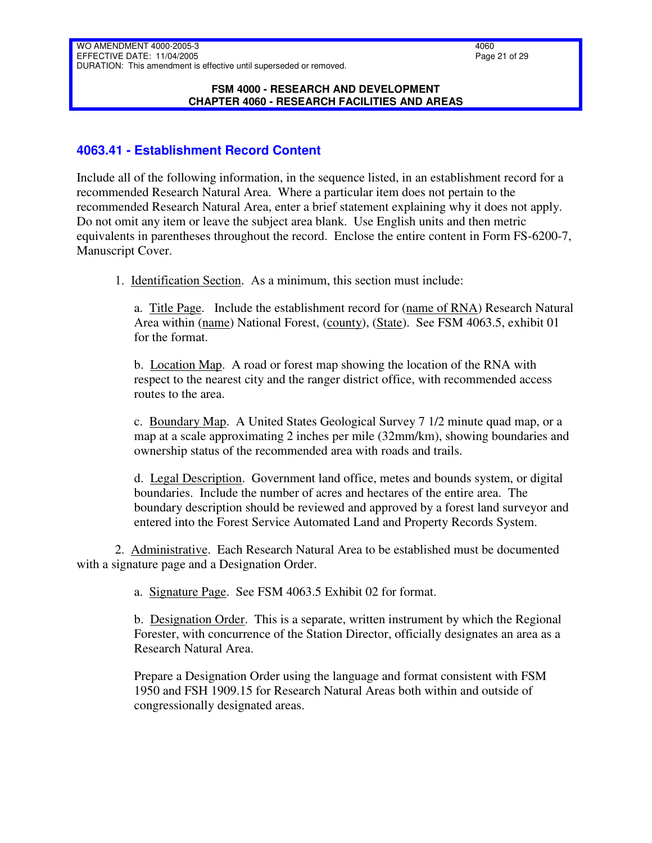#### **FSM 4000 - RESEARCH AND DEVELOPMENT CHAPTER 4060 - RESEARCH FACILITIES AND AREAS**

# <span id="page-20-0"></span>**4063.41 - Establishment Record Content**

Include all of the following information, in the sequence listed, in an establishment record for a recommended Research Natural Area. Where a particular item does not pertain to the recommended Research Natural Area, enter a brief statement explaining why it does not apply. Do not omit any item or leave the subject area blank. Use English units and then metric equivalents in parentheses throughout the record. Enclose the entire content in Form FS-6200-7, Manuscript Cover.

1. Identification Section. As a minimum, this section must include:

a. Title Page. Include the establishment record for (name of RNA) Research Natural Area within (name) National Forest, (county), (State). See FSM 4063.5, exhibit 01 for the format.

b. Location Map. A road or forest map showing the location of the RNA with respect to the nearest city and the ranger district office, with recommended access routes to the area.

c. Boundary Map. A United States Geological Survey 7 1/2 minute quad map, or a map at a scale approximating 2 inches per mile (32mm/km), showing boundaries and ownership status of the recommended area with roads and trails.

d. Legal Description. Government land office, metes and bounds system, or digital boundaries. Include the number of acres and hectares of the entire area. The boundary description should be reviewed and approved by a forest land surveyor and entered into the Forest Service Automated Land and Property Records System.

2. Administrative. Each Research Natural Area to be established must be documented with a signature page and a Designation Order.

a. Signature Page. See FSM 4063.5 Exhibit 02 for format.

b. Designation Order. This is a separate, written instrument by which the Regional Forester, with concurrence of the Station Director, officially designates an area as a Research Natural Area.

Prepare a Designation Order using the language and format consistent with FSM 1950 and FSH 1909.15 for Research Natural Areas both within and outside of congressionally designated areas.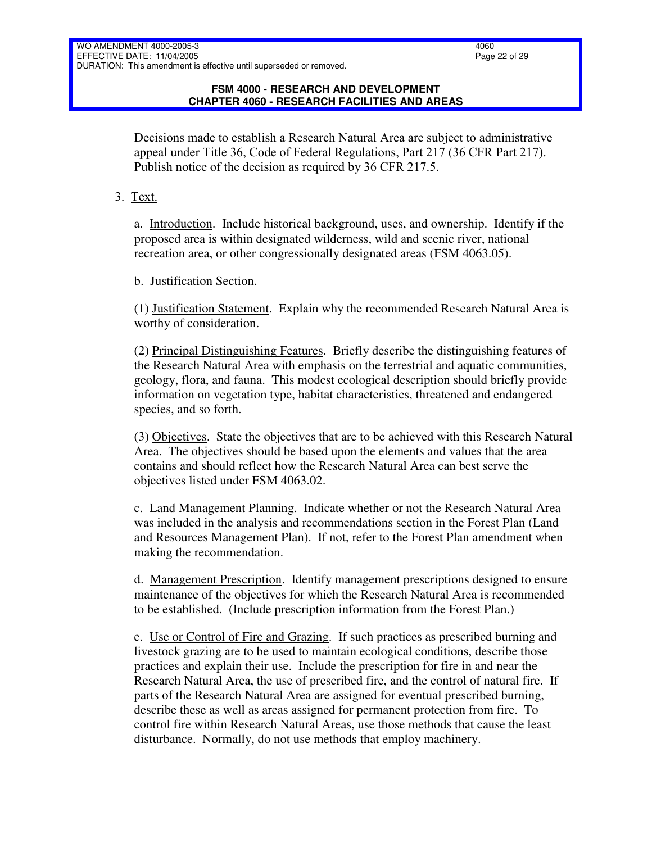Decisions made to establish a Research Natural Area are subject to administrative appeal under Title 36, Code of Federal Regulations, Part 217 (36 CFR Part 217). Publish notice of the decision as required by 36 CFR 217.5.

3. Text.

a. Introduction. Include historical background, uses, and ownership. Identify if the proposed area is within designated wilderness, wild and scenic river, national recreation area, or other congressionally designated areas (FSM 4063.05).

b. Justification Section.

(1) Justification Statement. Explain why the recommended Research Natural Area is worthy of consideration.

(2) Principal Distinguishing Features. Briefly describe the distinguishing features of the Research Natural Area with emphasis on the terrestrial and aquatic communities, geology, flora, and fauna. This modest ecological description should briefly provide information on vegetation type, habitat characteristics, threatened and endangered species, and so forth.

(3) Objectives. State the objectives that are to be achieved with this Research Natural Area. The objectives should be based upon the elements and values that the area contains and should reflect how the Research Natural Area can best serve the objectives listed under FSM 4063.02.

c. Land Management Planning. Indicate whether or not the Research Natural Area was included in the analysis and recommendations section in the Forest Plan (Land and Resources Management Plan). If not, refer to the Forest Plan amendment when making the recommendation.

d. Management Prescription. Identify management prescriptions designed to ensure maintenance of the objectives for which the Research Natural Area is recommended to be established. (Include prescription information from the Forest Plan.)

e. Use or Control of Fire and Grazing. If such practices as prescribed burning and livestock grazing are to be used to maintain ecological conditions, describe those practices and explain their use. Include the prescription for fire in and near the Research Natural Area, the use of prescribed fire, and the control of natural fire. If parts of the Research Natural Area are assigned for eventual prescribed burning, describe these as well as areas assigned for permanent protection from fire. To control fire within Research Natural Areas, use those methods that cause the least disturbance. Normally, do not use methods that employ machinery.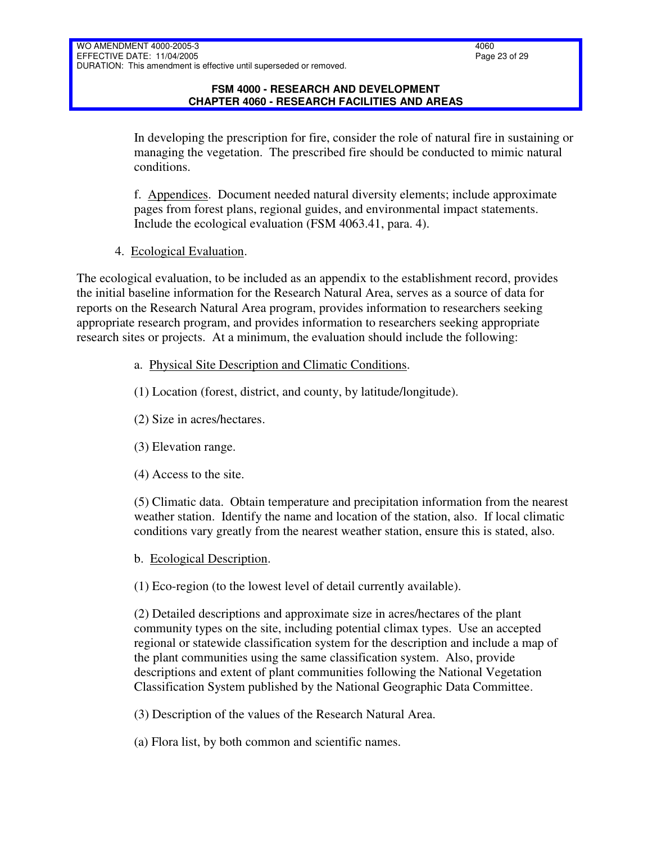In developing the prescription for fire, consider the role of natural fire in sustaining or managing the vegetation. The prescribed fire should be conducted to mimic natural conditions.

f. Appendices. Document needed natural diversity elements; include approximate pages from forest plans, regional guides, and environmental impact statements. Include the ecological evaluation (FSM 4063.41, para. 4).

4. Ecological Evaluation.

The ecological evaluation, to be included as an appendix to the establishment record, provides the initial baseline information for the Research Natural Area, serves as a source of data for reports on the Research Natural Area program, provides information to researchers seeking appropriate research program, and provides information to researchers seeking appropriate research sites or projects. At a minimum, the evaluation should include the following:

- a. Physical Site Description and Climatic Conditions.
- (1) Location (forest, district, and county, by latitude/longitude).
- (2) Size in acres/hectares.
- (3) Elevation range.
- (4) Access to the site.

(5) Climatic data. Obtain temperature and precipitation information from the nearest weather station. Identify the name and location of the station, also. If local climatic conditions vary greatly from the nearest weather station, ensure this is stated, also.

b. Ecological Description.

(1) Eco-region (to the lowest level of detail currently available).

(2) Detailed descriptions and approximate size in acres/hectares of the plant community types on the site, including potential climax types. Use an accepted regional or statewide classification system for the description and include a map of the plant communities using the same classification system. Also, provide descriptions and extent of plant communities following the National Vegetation Classification System published by the National Geographic Data Committee.

(3) Description of the values of the Research Natural Area.

(a) Flora list, by both common and scientific names.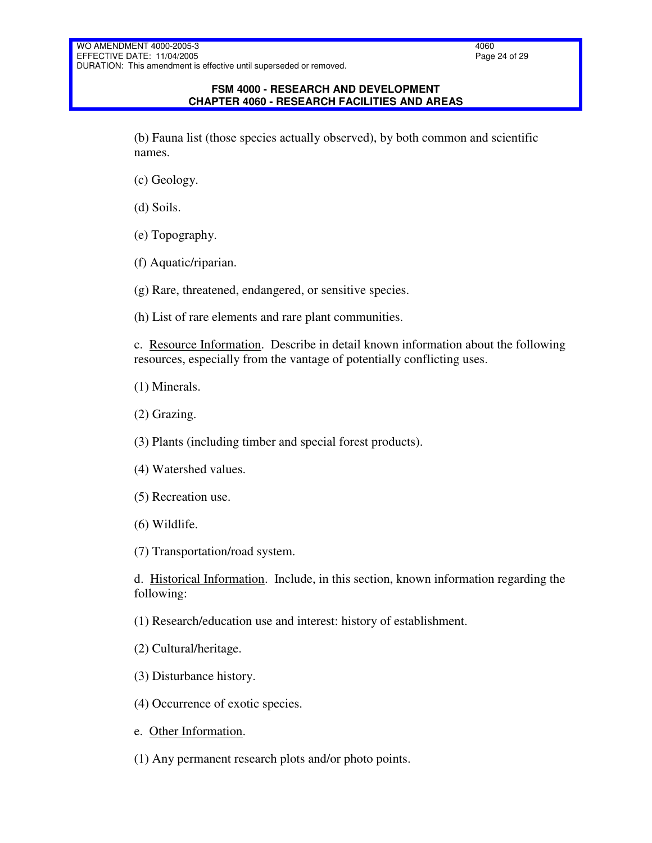(b) Fauna list (those species actually observed), by both common and scientific names.

- (c) Geology.
- (d) Soils.
- (e) Topography.
- (f) Aquatic/riparian.
- (g) Rare, threatened, endangered, or sensitive species.
- (h) List of rare elements and rare plant communities.

c. Resource Information. Describe in detail known information about the following resources, especially from the vantage of potentially conflicting uses.

- (1) Minerals.
- (2) Grazing.

(3) Plants (including timber and special forest products).

- (4) Watershed values.
- (5) Recreation use.
- (6) Wildlife.

(7) Transportation/road system.

d. Historical Information. Include, in this section, known information regarding the following:

(1) Research/education use and interest: history of establishment.

- (2) Cultural/heritage.
- (3) Disturbance history.
- (4) Occurrence of exotic species.
- e. Other Information.
- (1) Any permanent research plots and/or photo points.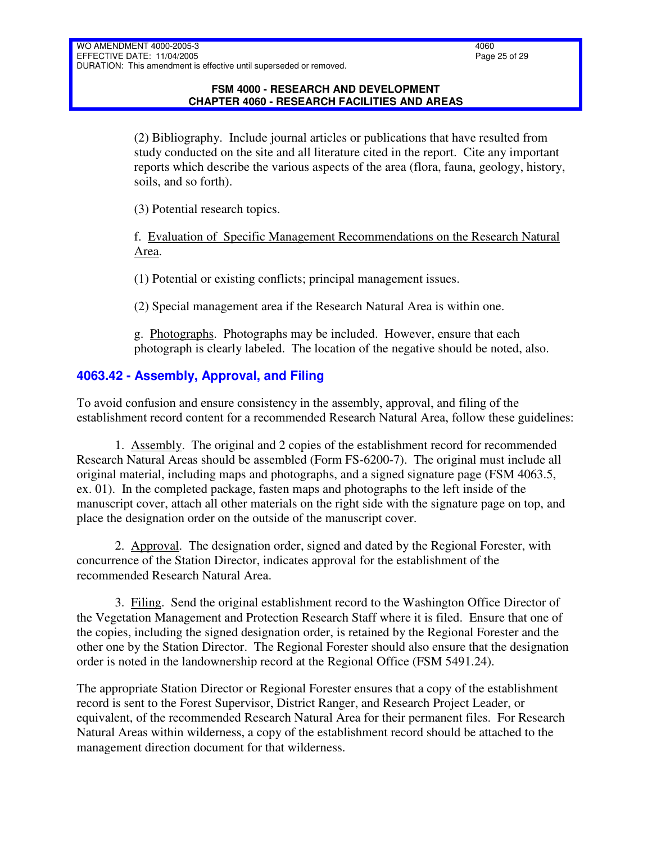(2) Bibliography. Include journal articles or publications that have resulted from study conducted on the site and all literature cited in the report. Cite any important reports which describe the various aspects of the area (flora, fauna, geology, history, soils, and so forth).

(3) Potential research topics.

f. Evaluation of Specific Management Recommendations on the Research Natural Area.

(1) Potential or existing conflicts; principal management issues.

(2) Special management area if the Research Natural Area is within one.

g. Photographs. Photographs may be included. However, ensure that each photograph is clearly labeled. The location of the negative should be noted, also.

# <span id="page-24-0"></span>**4063.42 - Assembly, Approval, and Filing**

To avoid confusion and ensure consistency in the assembly, approval, and filing of the establishment record content for a recommended Research Natural Area, follow these guidelines:

1. Assembly. The original and 2 copies of the establishment record for recommended Research Natural Areas should be assembled (Form FS-6200-7). The original must include all original material, including maps and photographs, and a signed signature page (FSM 4063.5, ex. 01). In the completed package, fasten maps and photographs to the left inside of the manuscript cover, attach all other materials on the right side with the signature page on top, and place the designation order on the outside of the manuscript cover.

2. Approval. The designation order, signed and dated by the Regional Forester, with concurrence of the Station Director, indicates approval for the establishment of the recommended Research Natural Area.

3. Filing. Send the original establishment record to the Washington Office Director of the Vegetation Management and Protection Research Staff where it is filed. Ensure that one of the copies, including the signed designation order, is retained by the Regional Forester and the other one by the Station Director. The Regional Forester should also ensure that the designation order is noted in the landownership record at the Regional Office (FSM 5491.24).

The appropriate Station Director or Regional Forester ensures that a copy of the establishment record is sent to the Forest Supervisor, District Ranger, and Research Project Leader, or equivalent, of the recommended Research Natural Area for their permanent files. For Research Natural Areas within wilderness, a copy of the establishment record should be attached to the management direction document for that wilderness.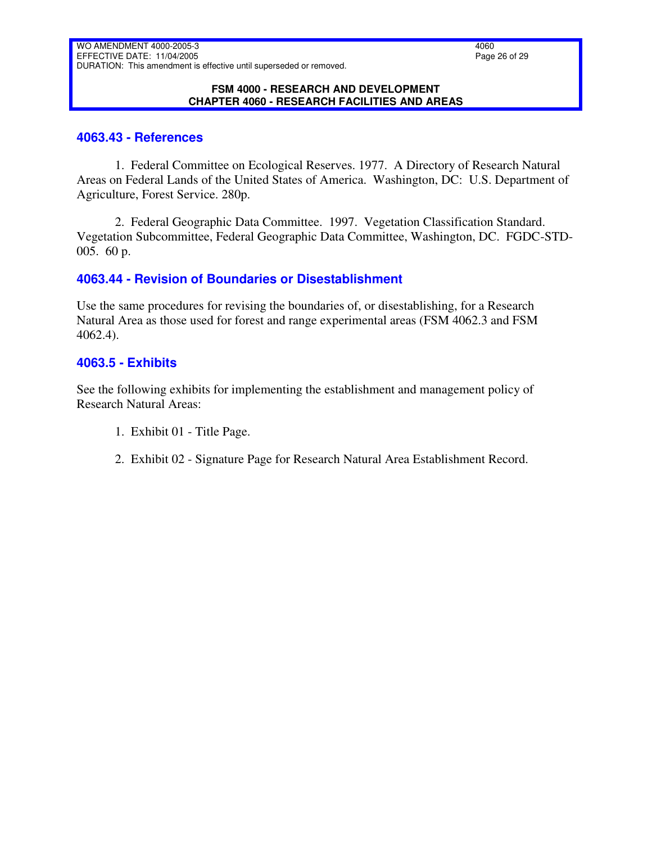#### **FSM 4000 - RESEARCH AND DEVELOPMENT CHAPTER 4060 - RESEARCH FACILITIES AND AREAS**

### <span id="page-25-0"></span>**4063.43 - References**

1. Federal Committee on Ecological Reserves. 1977. A Directory of Research Natural Areas on Federal Lands of the United States of America. Washington, DC: U.S. Department of Agriculture, Forest Service. 280p.

2. Federal Geographic Data Committee. 1997. Vegetation Classification Standard. Vegetation Subcommittee, Federal Geographic Data Committee, Washington, DC. FGDC-STD-005. 60 p.

### <span id="page-25-1"></span>**4063.44 - Revision of Boundaries or Disestablishment**

Use the same procedures for revising the boundaries of, or disestablishing, for a Research Natural Area as those used for forest and range experimental areas (FSM 4062.3 and FSM 4062.4).

### <span id="page-25-2"></span>**4063.5 - Exhibits**

See the following exhibits for implementing the establishment and management policy of Research Natural Areas:

- 1. Exhibit 01 Title Page.
- 2. Exhibit 02 Signature Page for Research Natural Area Establishment Record.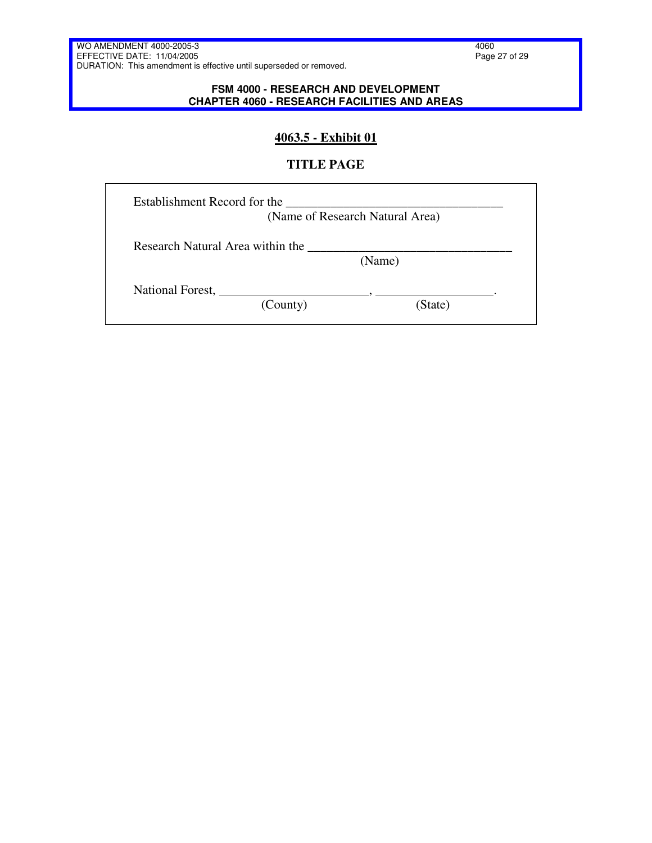#### **FSM 4000 - RESEARCH AND DEVELOPMENT CHAPTER 4060 - RESEARCH FACILITIES AND AREAS**

## **4063.5 - Exhibit 01**

### **TITLE PAGE**

|                                  | (Name of Research Natural Area) |
|----------------------------------|---------------------------------|
| Research Natural Area within the | (Name)                          |
| National Forest,                 |                                 |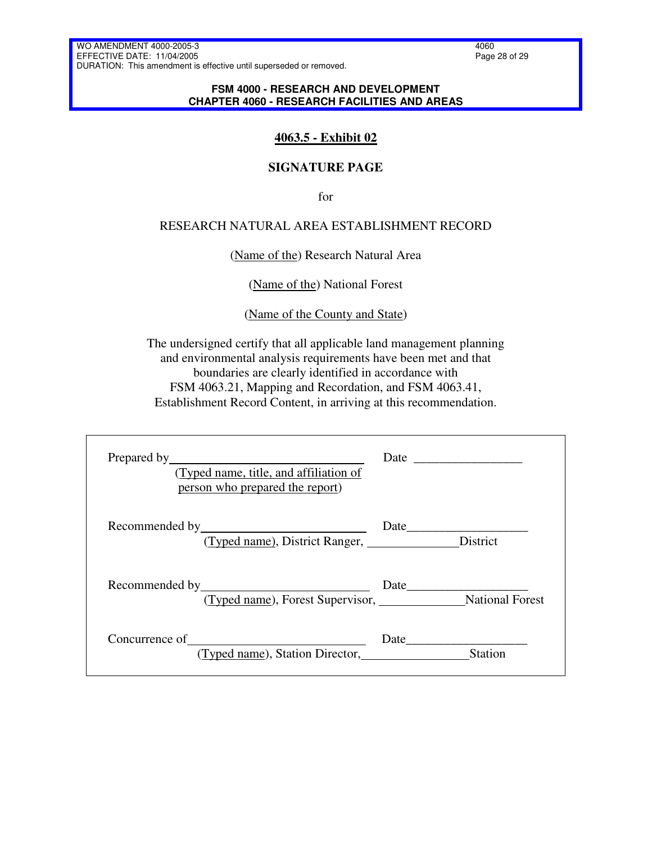#### **FSM 4000 - RESEARCH AND DEVELOPMENT CHAPTER 4060 - RESEARCH FACILITIES AND AREAS**

# **4063.5 - Exhibit 02**

### **SIGNATURE PAGE**

for

### RESEARCH NATURAL AREA ESTABLISHMENT RECORD

#### (Name of the) Research Natural Area

(Name of the) National Forest

(Name of the County and State)

The undersigned certify that all applicable land management planning and environmental analysis requirements have been met and that boundaries are clearly identified in accordance with FSM 4063.21, Mapping and Recordation, and FSM 4063.41, Establishment Record Content, in arriving at this recommendation.

| Prepared by <u>the contract of the contract of the contract of the contract of the contract of the contract of the contract of the contract of the contract of the contract of the contract of the contract of the contract of t</u><br>(Typed name, title, and affiliation of<br>person who prepared the report) |                        |
|-------------------------------------------------------------------------------------------------------------------------------------------------------------------------------------------------------------------------------------------------------------------------------------------------------------------|------------------------|
| (Typed name), District Ranger, District                                                                                                                                                                                                                                                                           |                        |
| (Typed name), Forest Supervisor, National Forest                                                                                                                                                                                                                                                                  |                        |
| (Typed name), Station Director, <u>entitled</u> and the Cyped name), Station Director,                                                                                                                                                                                                                            | Date<br><b>Station</b> |